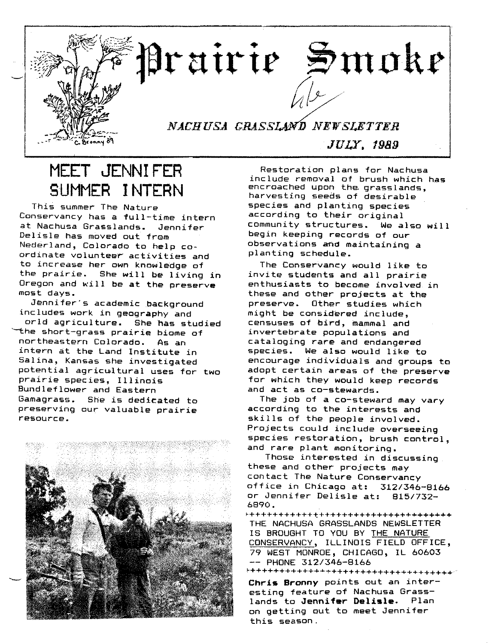

### MEET JENNIFER SUMMER INTERN

This summer The Nature Conservancy has a full-time intern at Nachusa Grasslands. Jennifer Delisle has moved out from Nederland, Colorado to help coordinate volunteer activities and to increase her own knowledge of the prairie. She will be living in Oregon and will be at the preserve most days.

Jennifer's academic background includes work in geography and orld agriculture. She has studied ~he short-grass prairie biome of northeastern Colorado. As an intern at the Land Institute in Salina, Kansas she investigated potential agricultural uses for two prairie species, Illinois Bundleflower and Eastern Gamagrass. She is dedicated to preserving our valuable prairie resource.



Restoration plans for Nachusa include removal of brush which has encroached upon the grasslands, harvesting seeds of desirable species and planting species according to their original community structures. We also will begin keeping records of our observations and maintaining a planting schedule.

The Conservancy would like to invite students and all prairie enthusiasts to become involved in these and other projects at the preserve. Other studies which might be considered include. censuses of bird, mammal and invertebrate populations and cataloging rare and endangered species. We also would like to encourage individuals and groups to adopt certain areas of the preserve for which they would keep records and act as co-stewards.

The job of a co-steward may vary according to the interests and skills of the people involved. Projects could include overseeing species restoration, brush control, and rare plant monitoring.

Those interested in discussing these and other projects may contact The Nature Conservancy office in Chicago at: *312/346-8166* or Jennifer Delisle at: *815/732-* 6890.

~+++++++++++~+++++++++++++++++++++++ THE NACHUSA GRASSLANDS NEWSLETTER IS BROUGHT TO YOU BY THE NATURE CONSERVANCY, ILLINOIS FIELD OFFICE, 79 WEST MONROE, CHICAGO, IL 60603 -- PHONE 312/346-8166

~++++++++++++""++++++++++++++++++++++.'

Chris Bronny points out an interesting feature of Nachusa Grasslands to Jennifer Delisle. Plan on getting out to meet Jennifer this season.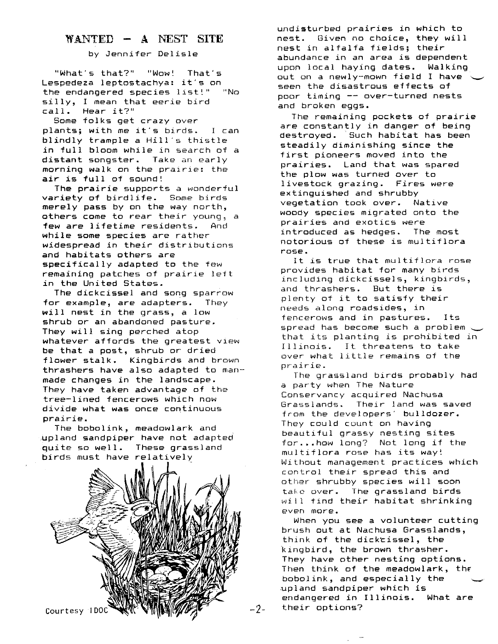#### WANTED - A NEST SITE

by Jennifer Delisle

"What's that?" "Wow! That's Lespedeza leptostachya: it's on the endangered species list!" "No silly, I mean that *eerie* bird call. Hear it?"

Some folks get crazy over plants; with me it's birds. I can blindly trample a Hill's thistle in full bloom while in search of a distant songster. Take an early morning walk on the prairie: the  $air$  is full of sound!

The prairie supports a wonderful variety of birdlife. Some birds merely pass by on the way north, others come to *rear* their young~ a few *are* lifetime residents. And while some species *are* rather widespread in their distributions and habitats others *are* specifically adapted to the few remaining patches of prairie left in the United States.

The dickcissel and song sparrow for example, are adapters. They will nest in the grass, a low shrub or an abandoned pasture. They will sing perched atop whatever affords the greatest view be that a post, shrub or dried flower stalk. Kingbirds and brown thrashers have also adapted to manmade changes in the landscape. They have taken advantage of the tree-lined fencerows which now divide what was once continuous prairie.

The bobolink, meadowlark and upland sandpiper have not adapted quite so well. These grassland birds must have relatively



undisturbed prairies in which to nest. Given no choice, they will nest in alfalfa fields; their abundance in an area is dependent upon local haying dates. Walking out on a newly-mown field I have seen the disastrous effects of poor timing -- over-turned nests and broken eggs.

The remaining pockets of prairie are constantly in danger of being destroyed. Such habitat has been steadily diminishing since the first pioneers moved into the prairies. Land that was spared the plow was turned over to livestock grazing. Fires were extinguished and shrubby vegetation took over. Native woody species migrated onto the prairies and exotics were introduced as hedges. The most notorious of these is multiflora rose.

It is true that multiflora rose provides habitat for many birds including dickcissels, kingbirds, and thrashers. But there is plenty of it to satisfy their needs along roadsides, in tencerows and in pastures. Its spread has become such a problem  $\backsim$ that its planting is prohibited in Illinois. It threatens to take over what little remains of the prairie.

The grassland birds probably had a party when The Nature Conservancy acquired Nachusa Grasslands. Their land was saved from the developers' bulldozer. They could count on having beautiful grassy nesting sites for ..•how long? Not long if the multiflora rose has its way! Without management practices which control their spread this and other shrubby species will soon take over. The grassland birds will tind their habitat shrinking even more.

When you see a volunteer cutting brush out at Nachusa Grasslands - ' thlnk of the dicktissel, the kingbird, the brown thrasher. They have other nesting options. Then think of the meadowlark, the bobolink, and especially the upland sandpiper which is endangered in Illinois. What *are* their options?

-2-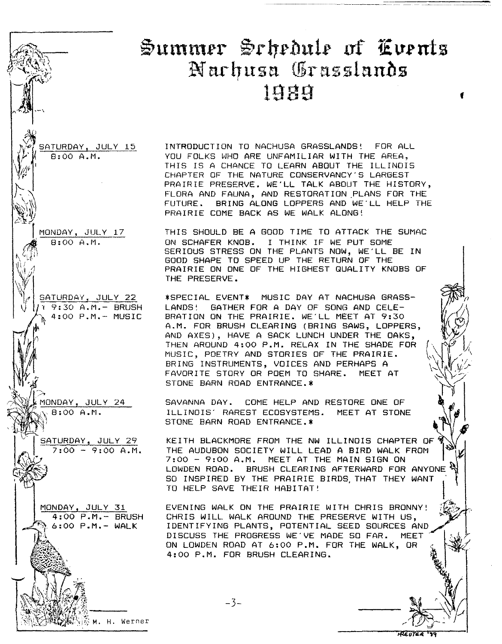# $\mathfrak{B}$ ummer Schedule of Events Narhusa Grasslands<br>1989

f

SATURDAY, JULY 15  $\overline{B: 00 A.M.}$ 

INTRODUCTION TO NACHUSA GRASSLANDS! FOR ALL YOU FOLKS WHO ARE UNFAMILIAR WITH THE AREA, THIS IS A CHANCE TO LEARN ABOUT THE ILLINOIS CHAPTER OF THE NATURE CONSERVANCY'S LARGEST PRAIRIE PRESERVE. WE'LL TALK ABOUT THE HISTORY, FLORA AND FAUNA, AND RESTORATION PLANS FOR THE FUTURE. BRING ALONG LOPPERS AND WE'LL HELP THE PRAIRIE COME BACK AS WE WALK ALONG!

-r MONDAY, JULY 17

 $\overline{B:OO A.M.}$ 

 $\sum_{i=1}^n$ 

\\\\\

**Report** 

 $\mathscr{D}(\mathcal{V})$ *c~)*

THIS SHOULD BE A GOOD TIME TO ATTACK THE SUMAC ON SCHAFER KNOB. I THINK IF WE PUT SOME SERIOUS STRESS ON THE PLANTS NOW, WE'LL BE IN GOOD SHAPE TO SPEED UP THE RETURN OF THE PRAIRIE ON ONE OF THE HIGHEST QUALITY KNOBS OF THE PRESERVE.

\*SPECIAL EVENT\* MUSIC DAY AT NACHUSA GRASS-LANDS: GATHER FOR A DAY OF SONG AND CELE-BRATION ON THE PRAIRIE. WE'LL MEET AT 9:30 A.M. FOR BRUSH CLEARING (BRING SAWS, LOPPERS, AND AXES), HAVE A SACK LUNCH UNDER THE OAKS, THEN AROUND 4:00 P.M. RELAX IN THE SHADE FOR MUSIC, POETRY AND STORIES OF THE PRAIRIE. BRING INSTRUMENTS, VOICES AND PERHAPS A FAVORITE STORY OR POEM TO SHARE. MEET AT STONE BARN ROAD ENTRANCE. \*

SAVANNA DAY. COME HELP AND RESTORE ONE OF ILLINOIS' RAREST ECOSYSTEMS. MEET AT STONE STONE BARN ROAD ENTRANCE.\*

KEITH BLACKMORE FROM THE NW ILLINOIS CHAPTER OF THE AUDUBON SOCIETY WILL LEAD A BIRD WALK FROM<br>7:00 - 9:00 A.M. MEET AT THE MAIN SIGN ON LOWDEN ROAD. BRUSH CLEARING AFTERWARD FOR ANYONE SO INSPIRED BY THE PRAIRIE BIRDS, THAT THEY WANT TO HELP SAVE THEIR HABITAT!

EVENING WALK ON THE PRAIRIE WITH CHRIS BRONNY! CHRIS WILL WALK AROUND THE PRESERVE WITH US, IDENTIFYING PLANTS, POTENTIAL SEED SOURCES AND DISCUSS THE PROGRESS WE'VE MADE SO FAR. MEET DISCUSS THE PROGRESS WE'VE MADE SO FAR. ON LOWDEN ROAD AT 6:00 P.M. FOR THE WALK, OR 4:00 P.M. FOR BRUSH CLEARING.

<sup>V</sup> 9:30 A.M.- BRUSH 4:00 P.M.- MUSIC ~

*~f* SATURDAY, JULY 22

1ONDAY, JULY 24 8:00 A.M.

> SATURDAY, JULY 29  $7:00 - 9:00 A.M.$

MONDAY, JULY 31 4:00 P.M. - BRUSH 6:00 P.M. - WALK

중 M. H. Werner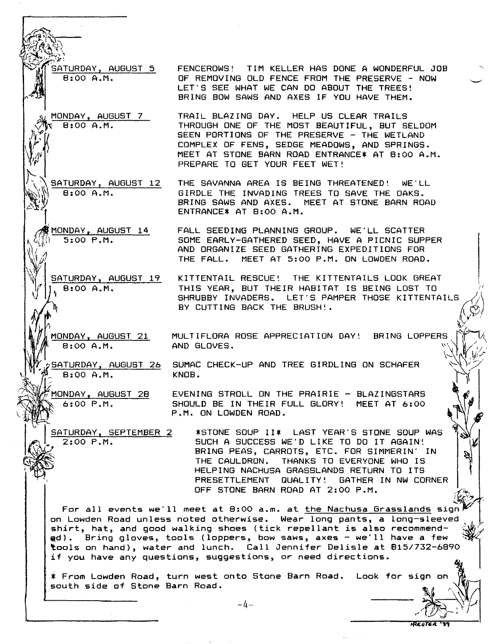ATURDAY, AUGUST 5 FENCEROWS! TIM KELLER HAS DONE A WONDERFUL JOB 8:00 A.M.

MONDAY, AUGUST 7  $8:00A.M.$ 

SATURDAY, AUGUST 12 8:00 A.M.

MONDAY, AUGUST 14  $5:00$   $P.M.$ 

8:00 A.M.

8:00 A.M.

FALL SEEDING PLANNING GROUP. WE'LL SCATTER SOME EARLY-GATHERED SEED, HAVE A PICNIC SUPPER AND ORGANIZE SEED GATHERING EXPEDITIONS FOR THE FALL. MEET AT 5:00 P.M. ON LOWDEN ROAD.

OF REMOVING OLD FENCE FROM THE PRESERVE - NOW LET'S SEE WHAT WE CAN DO ABOUT THE TREES! BRING BOW SAWS AND AXES IF YOU HAVE THEM.

THROUGH ONE OF THE MOST BEAUTIFUL, BUT SELDOM SEEN PORTIONS OF THE PRESERVE - THE WETLAND COMPLEX OF FENS, SEDGE MEADOWS, AND SPRINGS. MEET AT STONE BARN ROAD ENTRANCE\* AT 8:00 A.M.

THE SAVANNA AREA IS BEING THREATENED! WE'LL GIRDLE THE INVADING TREES TO SAVE THE OAKS. BRING SAWS AND AXES. MEET AT STONE BARN ROAD

TRAIL BLAZING DAY. HELP US CLEAR TRAILS

PREPARE TO GET YOUR FEET WET!

ENTRANCE\* AT 8:00 A.M.

SATURDAY, AUGUST 19 A KITTENTAIL RESCUE! THE KITTENTAILS LOOK GREAT THIS YEAR. BUT THEIR HABITAT IS BEING LOST TO SHRUBBY INVADERS. LET'S PAMPER THOSE KITTENTAILS BY CUTTING BACK THE BRUSH!.  $~\mathbb{C}^{3/2}$ 

BRING LOPPERS  $\mathbb{Z}$ MULTIFLORA ROSE APPRECIATION DAY! AND GLOVES.

,<u>;SATURDAY, AUGUST 26</u> SUMAC CHECK-UP AND TREE GIRDLING ON SCHAFER  $B:OO A.M.$ KNOB.

*~.,\~ .»* MONDAY, AUGUST 28 6:00 P.M.

10NDAY, AUGUST 21

I

بر<br>أو

 $4.7.7$ j

• J

SATURDAY. SEPTEMBER 2 2:00 P.M.

EVENING STROLL ON THE PRAIRIE - BLAZINGSTARS SHOULD BE IN THEIR FULL GLORY! MEET AT 6:00 P.M. ON LOWDEN ROAD.

\*STONE SOUP 11\* LAST YEAR'S STONE SOUP WAS SUCH A SUCCESS WE'D LIKE TO DO IT AGAIN! BRING PEAS, CARROTS, ETC. FOR SIMMERIN' IN THE CAULDRON. THANKS TO EVERYONE WHO IS HELPING NACHUSA GRASSLANDS RETURN TO ITS PRESETTLEMENT QUALITY! GATHER IN NW CORNER OFF STONE BARN ROAD AT 2:00 P.M.

For all events we'll meet at 8:00 a.m. at the Nachusa Grasslands sign on Lowden Road unless noted otherwise. Wear long pants, a long-sleeved shirt, hat, and good walking shoes (tick repellant is also recommend-@d). Bring gloves, tools (loppers, bow saws, axes - we'll have a few ~. tools on hand), water and lunch. Call Jennifer Delisle at *915/732-6890* if you have any questions, suggestions, or need directions •

\* From Lowden Road, turn west onto Stone Barn Road. Look for sign on  $\mathbb{C}$ <br>south side of Stone Barn Road. 'south side of Stone Barn Road.

 $-4-$ 

*r~~-- <sup>J</sup>*

 $\mathbf{I}$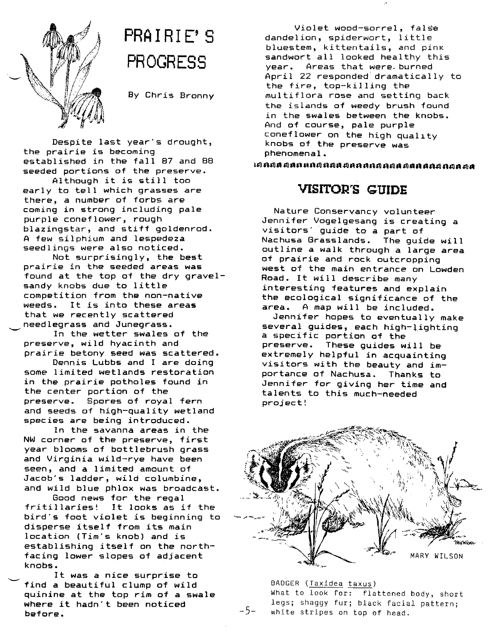

# **PRA I RI E' S PROGRESS**

By Chris Bronny

Despite last year's drought, the prairie is becoming established in the fall 87 and 88 seeded portions of the preserve.

Although it is still too early to tell which grasses are there, a number of forbs are coming in strong including pale purple coneflower, rough blazingstar, and stiff goldenrod. A few silphium and lespedeza seedlings were also noticed.

Not surprisingly, the best prairie in the seeded areas was found at the top of the dry gravelsandy knobs due to little competition from the non-native weeds. It is into these areas that we recently scattered needlegrass and Junegrass.

In the wetter swales of the preserve, wild hyacinth and prairie betony seed was scattered.

Dennis Lubbs and I are doing some limited wetlands restoration in the prairie potholes found in the center portion of the preserve. Spores of royal fern and seeds of high-quality wetland species are being introduced.

In the savanna areas in the NW corner of the preserve, first year blooms of bottlebrush grass and Virginia wild-rye have been seen, and a limited amount of Jacob's ladder, wild columbine, and wild blue phlox was broadcast.

Good news for the regal fritillaries! It looks as if the bird's foot violet is beginning to disperse itself from its main location (Tim's knob) and is establishing itself on the northfacing lower slopes of adjacent knobs.

It was a nice surprise to find a beautiful clump of wild quinine at the top rim of a swale where it hadn't been noticed before.

Violet wood-sorrel, false dandelion, spiderwort, little bluestem, kittentails, and pink sandwort all looked healthy this year. Areas that were. burned April 22 responded'dramatically to the fire, top-killing the multiflora rose and setting back the islands of weedy brush found in the swales between the knobs. And of course, pale purple coneflower on the high quality knobs of the preserve was phenomenal.

~R~~~~RhR~R~~~~R~R~R~d~~R~R~R~~~~

#### **VISITOR'S GUIDE**

Nature Conservancy volunteer Jennifer Vogelgesang is creating a visitors' guide to a part of Nachusa Grasslands. The guide will outline a walk through a large area of prairie and rock outcropping west of the main entrance on Lowden Road. It will describe many interesting features and explain the ecological significance of the area. A map will be included.

Jennifer hopes to eventually make several guides, each high-lighting a specific portion of the preserve. These guides will be extremely helpful in acquainting visitors with the beauty and *im*portance of Nachusa. Thanks to Jennifer for giving her time and talents to this much-needed project!



BADGER (Taxidea taxus) What to look for: flattened body, short legs; shaggy fur; black facial pattern; white stripes on top of head.

 $-5-$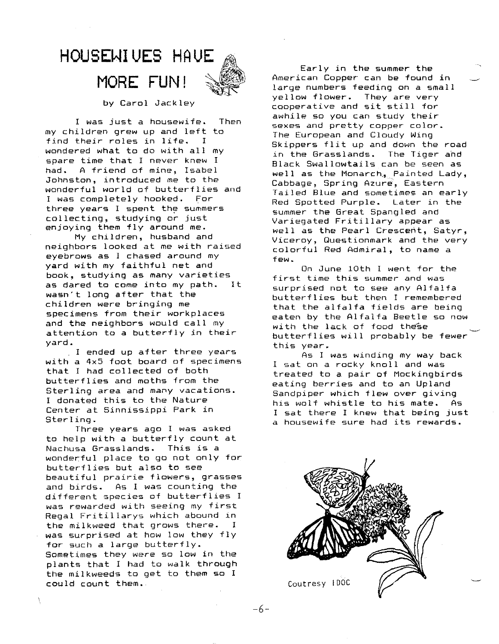## HOUSEWIUES HAUE **MORE FUN! ~**



by Carol Jackley

I was just a housewife. Then my children grew up and left to find their roles in life. wondered what to do with all my spare time that I never knew I had. A friend of mine, Isabel Johnston, introduced me to the wonderful world of butterflies and I was completely hooked. For three years I spent the summers collecting, studying or just enjoying them fly around me.

My children, husband and neighbors looked at me with raised eyebrows as I chased around my yard with my faithful net and book, studying as many varieties as dared to come into my path. It wasn't long after that the children were bringing me specimens from their workplaces and the neighbors would call my attention to a butterfly in their yard.

I ended up after three years with a 4x5 foot board of specimens that I had collected of both butterflies and moths from the Sterling area and many vacations. I donated this to the Nature Center at Sinnissippi Park in Sterling.

Three years ago I was asked to help with a butterfly count at Nachusa Grasslands. This is a wonderful place to go not only for butterflies but also to see beautiful prairie flowers, grasses and birds. As I was counting the different species of butterflies I was rewarded with seeing my first Regal Fritillarys which abound in the milkweed that grows there. I was surprised at haw low they fly for such a large butterfly. Sometimes they were so low in the plants that I had to walk through the milkweeds to get to them so I could count them.

Early in the summer the American Copper can be found in ~ large numbers feeding on a small yellow flower. They are very cooperative and sit still for awhile so you can study their sexes and pretty copper calor. The European and Cloudy Wing Skippers flit up and down the road in the Grasslands. The Tiger ahd Black Swallowtails can be seen as well as the Monarch, Painted Lady, Cabbage, Spring Azure, Eastern Tailed Blue and sometimes an early Red Spotted Purple. Later in the summer the Great Spangled and Variegated Fritillary appear as well as the Pearl Crescent, Satyr, Viceroy, Questionmark and the very colorful Red Admiral, to name a few.

On June 10th I went for the first time this summer and was surprised not to see any Alfalfa butterflies but then I remembered that the alfalfa fields are being eaten by the Alfalfa Beetle so now with the lack of food these butterflies will probably be fewer this year.

As I was winding my way back I sat on a rocky knoll and was treated to a pair of Mockingbirds eating berries and to an Upland Sandpiper which flew over giving his wolf whistle to his mate. As I sat there I knew that being just a housewife sure had its rewards.



-6-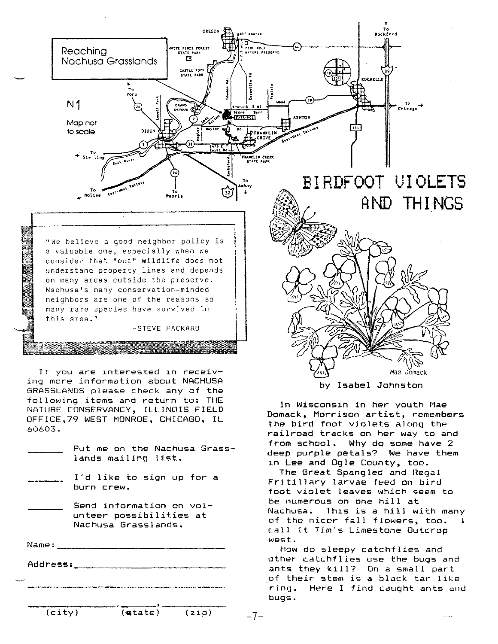

I'd like to sign up for a burn crew.

Send information on volunteer possibilities at Nachusa Grasslands.

Name: \_ Address: \_\_\_\_\_\_\_\_\_\_

The Great Spangled and Regal Fritillary larvae feed on bird foot violet leaves which seem to be numerous on one hill at Nachusa. This is a hill with many of the nicer fall flowers, too. I call it Tim's Limestone Outcrop west.

How do sleepy catchflies and other catchflies use the bugs and ants they kill? On a small part of their stem is a black tar like ring. Here I find caught ants and bugs.

 $(city)$  (state) (zip)

 $-7-$